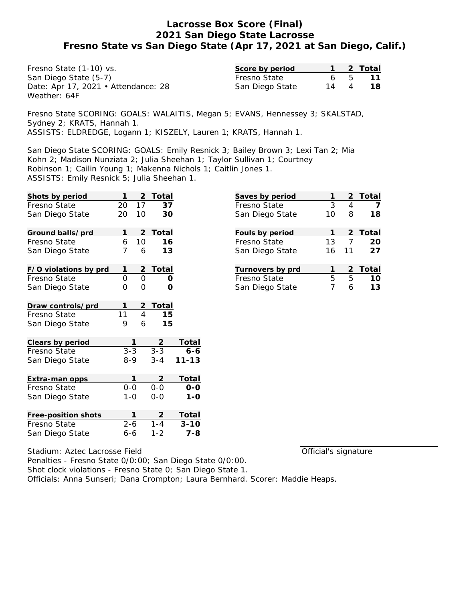Fresno State (1-10) vs. San Diego State (5-7) Date: Apr 17, 2021 • Attendance: 28 Weather: 64F

| Score by period |    |                | 2 Total |
|-----------------|----|----------------|---------|
| Fresno State    | 6. | $\overline{b}$ | 11      |
| San Diego State | 14 | $\overline{4}$ | 18.     |

Fresno State SCORING: GOALS: WALAITIS, Megan 5; EVANS, Hennessey 3; SKALSTAD, Sydney 2; KRATS, Hannah 1. ASSISTS: ELDREDGE, Logann 1; KISZELY, Lauren 1; KRATS, Hannah 1.

San Diego State SCORING: GOALS: Emily Resnick 3; Bailey Brown 3; Lexi Tan 2; Mia Kohn 2; Madison Nunziata 2; Julia Sheehan 1; Taylor Sullivan 1; Courtney Robinson 1; Cailin Young 1; Makenna Nichols 1; Caitlin Jones 1. ASSISTS: Emily Resnick 5; Julia Sheehan 1.

| Shots by period       | 1              | 2              | Total          |              |
|-----------------------|----------------|----------------|----------------|--------------|
| Fresno State          | 20             | 17             | 37             |              |
| San Diego State       | 20             | 10             | 30             |              |
| Ground balls/prd      | 1              | 2              | Total          |              |
| Fresno State          | 6              | 10             | 16             |              |
| San Diego State       | $\overline{7}$ | 6              | 1.3            |              |
| F/O violations by prd | 1              | $\overline{2}$ | <b>Total</b>   |              |
| Fresno State          | O              | 0              | Ο              |              |
| San Diego State       | 0              | Ω              | O              |              |
| Draw controls/prd     | 1              | $\frac{2}{4}$  | T <u>otal</u>  |              |
| Fresno State          | 11             |                | 15             |              |
| San Diego State       | 9              | 6              | 15             |              |
| Clears by period      |                | 1              | <u>2</u>       | Total        |
| Fresno State          | $3 - 3$        |                | $3 - 3$        | 6-6          |
| San Diego State       | $8 - 9$        |                | $3 - 4$        | $11 - 13$    |
| Extra-man opps        |                | 1              | $\overline{2}$ | <b>Total</b> |
| Fresno State          | $0 - 0$        |                | $0 - 0$        | 0-0          |
| San Diego State       | $1 - 0$        |                | $0 - 0$        | $1 - 0$      |
| Free-position shots   |                | 1              |                | Total        |
| Fresno State          | $2 - 6$        |                | $1 - 4$        | $3 - 10$     |
| San Diego State       | $6 - 6$        |                | $1 - 2$        | $7 - 8$      |

| 2<br>4 | Total   |
|--------|---------|
|        |         |
|        |         |
| 8      | 18      |
|        | 2 Total |
| 7      | 20      |
|        | 27      |
| 2      | Total   |
| 5.     | 10      |
| Ь      | 13      |
|        | 11      |

Official's signature

Stadium: Aztec Lacrosse Field Penalties - Fresno State 0/0:00; San Diego State 0/0:00. Shot clock violations - Fresno State 0; San Diego State 1. Officials: Anna Sunseri; Dana Crompton; Laura Bernhard. Scorer: Maddie Heaps.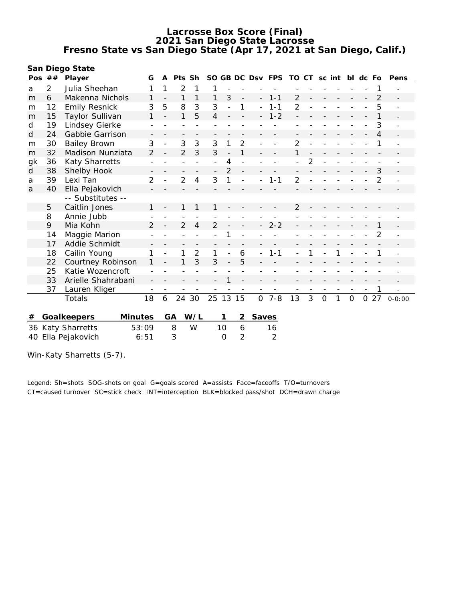**San Diego State**

| Pos | ##             | Player                     | G              | A  | Pts Sh         |                |                          |                          |                          |                          | SO GB DC Dsv FPS | TO CT sc int   |                |                |   |              | bl dc Fo |     | Pens       |
|-----|----------------|----------------------------|----------------|----|----------------|----------------|--------------------------|--------------------------|--------------------------|--------------------------|------------------|----------------|----------------|----------------|---|--------------|----------|-----|------------|
| a   | $\overline{2}$ | Julia Sheehan              | 1              | 1  | $\overline{2}$ | 1              | 1                        |                          |                          |                          |                  |                |                |                |   |              |          |     |            |
| m   | 6              | Makenna Nichols            | 1              |    | 1              | 1              | 1                        | 3                        | $\overline{\phantom{m}}$ | $\overline{a}$           | $1 - 1$          | $\overline{2}$ |                |                |   |              |          | 2   |            |
| m   | 12             | <b>Emily Resnick</b>       | 3              | 5  | 8              | 3              | 3                        |                          | 1                        | $\overline{\phantom{0}}$ | $1 - 1$          | $\overline{2}$ |                |                |   |              |          | 5   |            |
| m   | 15             | Taylor Sullivan            | 1              |    | 1              | 5              | 4                        |                          |                          | $\overline{\phantom{0}}$ | $1 - 2$          |                |                |                |   |              |          |     |            |
| d   | 19             | Lindsey Gierke             |                |    |                |                |                          |                          |                          |                          |                  |                |                |                |   |              |          | 3   |            |
| d   | 24             | Gabbie Garrison            |                |    |                |                |                          |                          |                          |                          |                  |                |                |                |   |              |          | 4   |            |
| m   | 30             | <b>Bailey Brown</b>        | 3              |    | 3              | 3              | 3                        |                          | $\overline{2}$           |                          |                  | 2              |                |                |   |              |          |     |            |
| m   | 32             | Madison Nunziata           | $\overline{2}$ |    | $\overline{2}$ | 3              | 3                        | $\overline{\phantom{a}}$ | 1                        |                          |                  |                |                |                |   |              |          |     |            |
| gk  | 36             | Katy Sharretts             |                |    |                |                |                          | 4                        |                          |                          |                  |                | $\overline{2}$ |                |   |              |          |     |            |
| d   | 38             | Shelby Hook                |                |    |                |                | $\overline{\phantom{a}}$ | $\mathfrak{D}$           |                          |                          |                  |                |                |                |   |              |          | 3   |            |
| a   | 39             | Lexi Tan                   | $\overline{2}$ |    | $\overline{2}$ | 4              | 3                        | 1                        |                          |                          | $1 - 1$          | $\overline{2}$ |                |                |   |              |          | 2   |            |
| a   | 40             | Ella Pejakovich            |                |    |                |                |                          |                          |                          |                          |                  |                |                |                |   |              |          |     |            |
|     |                | -- Substitutes --          |                |    |                |                |                          |                          |                          |                          |                  |                |                |                |   |              |          |     |            |
|     | 5              | Caitlin Jones              | 1              |    |                |                | 1                        |                          |                          |                          |                  | 2              |                |                |   |              |          |     |            |
|     | 8              | Annie Jubb                 |                |    |                |                |                          |                          |                          |                          |                  |                |                |                |   |              |          |     |            |
|     | 9              | Mia Kohn                   | $\overline{2}$ |    | $\overline{2}$ | 4              | 2                        |                          |                          |                          | $2 - 2$          |                |                |                |   |              |          |     |            |
|     | 14             | Maggie Marion              |                |    |                |                |                          |                          |                          |                          |                  |                |                |                |   |              |          | 2   |            |
|     | 17             | Addie Schmidt              |                |    |                |                |                          |                          |                          |                          |                  |                |                |                |   |              |          |     |            |
|     | 18             | Cailin Young               |                |    |                | $\overline{2}$ | 1                        |                          | 6                        |                          | $1 - 1$          |                |                |                |   |              |          |     |            |
|     | 22             | Courtney Robinson          |                |    |                | 3              | 3                        |                          | 5                        |                          |                  |                |                |                |   |              |          |     |            |
|     | 25             | Katie Wozencroft           |                |    |                |                |                          |                          |                          |                          |                  |                |                |                |   |              |          |     |            |
|     | 33             | Arielle Shahrabani         |                |    |                |                |                          |                          |                          |                          |                  |                |                |                |   |              |          |     |            |
|     | 37             | Lauren Kliger              |                |    |                |                |                          |                          |                          |                          |                  |                |                |                |   |              |          |     |            |
|     |                | Totals                     | 18             | 6  | 24 30          |                | 25 13 15                 |                          |                          | $\overline{O}$           | $7 - 8$          | 13             | 3              | $\overline{O}$ | 1 | $\mathbf{O}$ |          | 027 | $0 - 0:00$ |
|     |                |                            |                |    |                |                |                          |                          |                          |                          |                  |                |                |                |   |              |          |     |            |
| #   |                | Minutes<br>Goalkeepers     |                | GA |                | W/L            |                          | 1                        | 2                        | <b>Saves</b>             |                  |                |                |                |   |              |          |     |            |
|     |                | 53:09<br>36 Katy Sharretts |                |    | 8              | W              |                          | 10                       | 6                        |                          | 16               |                |                |                |   |              |          |     |            |
| 40  |                | Ella Pejakovich<br>6:51    |                |    | 3              |                |                          | $\Omega$                 | $\overline{2}$           |                          | $\overline{2}$   |                |                |                |   |              |          |     |            |
|     |                |                            |                |    |                |                |                          |                          |                          |                          |                  |                |                |                |   |              |          |     |            |

Win-Katy Sharretts (5-7).

Legend: Sh=shots SOG-shots on goal G=goals scored A=assists Face=faceoffs T/O=turnovers CT=caused turnover SC=stick check INT=interception BLK=blocked pass/shot DCH=drawn charge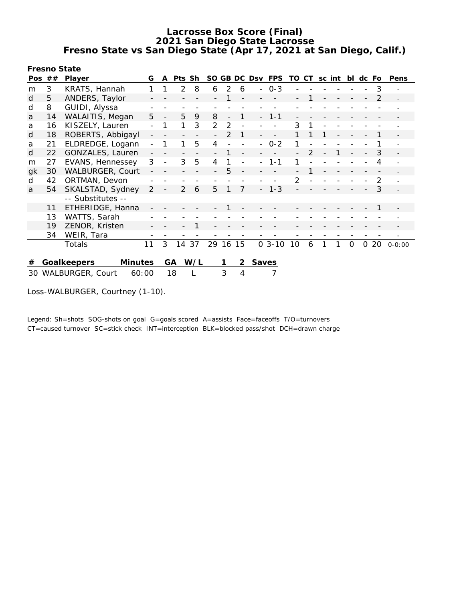**Fresno State**

| Pos $##$                                                  |    | Player                        | G              | A | Pts Sh         |     |          |               |   | SO GB DC Dsv | FPS     | TO | CT            | sc int | bl       | dc Fo    |               | Pens           |
|-----------------------------------------------------------|----|-------------------------------|----------------|---|----------------|-----|----------|---------------|---|--------------|---------|----|---------------|--------|----------|----------|---------------|----------------|
| m                                                         | 3  | KRATS, Hannah                 |                |   | $\overline{2}$ | 8   | 6        | 2             | 6 | $\sim$       | $O - 3$ |    |               |        |          |          | 3             |                |
| d                                                         | 5  | ANDERS, Taylor                |                |   |                |     |          |               |   |              |         |    |               |        |          |          | $\mathcal{P}$ |                |
| d                                                         | 8  | GUIDI, Alyssa                 |                |   |                |     |          |               |   |              |         |    |               |        |          |          |               |                |
| a                                                         | 14 | WALAITIS, Megan               | 5              |   | 5              | 9   | 8        |               |   |              | $1 - 1$ |    |               |        |          |          |               |                |
| a                                                         | 16 | KISZELY, Lauren               | $\overline{a}$ | 1 | 1              | 3   | 2        | 2             |   |              |         | 3  |               |        |          |          |               |                |
| d                                                         | 18 | ROBERTS, Abbigayl             |                |   |                |     |          | $\mathcal{P}$ |   |              |         |    |               |        |          |          |               |                |
| a                                                         | 21 | ELDREDGE, Logann              |                | 1 |                | 5   | 4        |               |   |              | $0 - 2$ |    |               |        |          |          |               |                |
| d                                                         | 22 | GONZALES, Lauren              |                |   |                |     |          |               |   |              |         |    | $\mathcal{P}$ |        |          |          | 3             | $\equiv$       |
| m                                                         | 27 | EVANS, Hennessey              | 3              |   | 3              | 5   | 4        |               |   |              | $1 - 1$ |    |               |        |          |          | 4             |                |
| gk                                                        | 30 | WALBURGER, Court              |                |   |                |     |          | 5             |   |              |         |    |               |        |          |          |               |                |
| d                                                         | 42 | ORTMAN, Devon                 |                |   |                |     |          |               |   |              |         | 2  |               |        |          |          | 2             | $\overline{a}$ |
| a                                                         | 54 | SKALSTAD, Sydney              | 2              |   | $\mathcal{P}$  | 6   | 5        |               |   |              | $-1-3$  |    |               |        |          |          | 3             |                |
|                                                           |    | -- Substitutes --             |                |   |                |     |          |               |   |              |         |    |               |        |          |          |               |                |
|                                                           | 11 | ETHERIDGE, Hanna              |                |   |                |     |          |               |   |              |         |    |               |        |          |          |               |                |
|                                                           | 13 | WATTS, Sarah                  |                |   |                |     |          |               |   |              |         |    |               |        |          |          |               |                |
|                                                           | 19 | ZENOR, Kristen                |                |   |                |     |          |               |   |              |         |    |               |        |          |          |               |                |
|                                                           | 34 | WEIR, Tara                    |                |   |                |     |          |               |   |              |         |    |               |        |          |          |               |                |
|                                                           |    | Totals                        | 11             | 3 | 14             | 37  | 29 16 15 |               |   |              | $03-10$ | 10 | 6             |        | $\Omega$ | $\Omega$ | 20            | $0 - 0:00$     |
| #                                                         |    | Goalkeepers<br><b>Minutes</b> |                |   | GA             | W/L |          |               | 2 | Saves        |         |    |               |        |          |          |               |                |
| 3<br>18<br>7<br>WALBURGER, Court<br>60:00<br>L<br>4<br>30 |    |                               |                |   |                |     |          |               |   |              |         |    |               |        |          |          |               |                |

Loss-WALBURGER, Courtney (1-10).

Legend: Sh=shots SOG-shots on goal G=goals scored A=assists Face=faceoffs T/O=turnovers CT=caused turnover SC=stick check INT=interception BLK=blocked pass/shot DCH=drawn charge